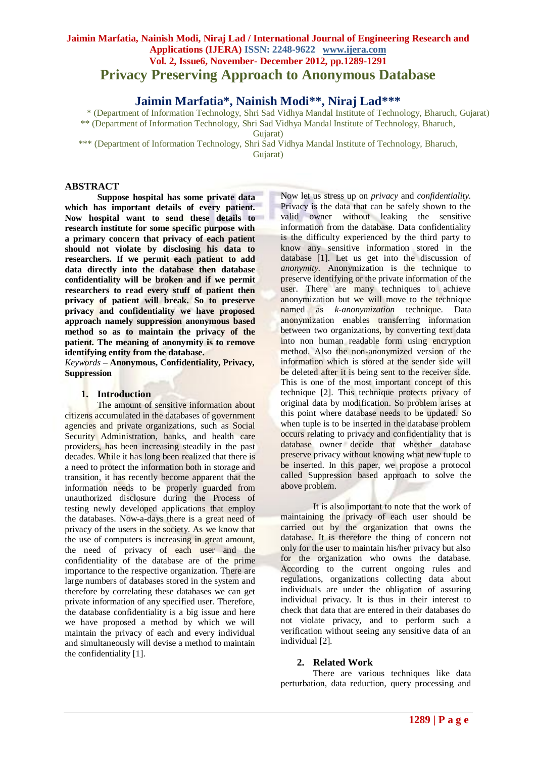# **Jaimin Marfatia, Nainish Modi, Niraj Lad / International Journal of Engineering Research and Applications (IJERA) ISSN: 2248-9622 www.ijera.com Vol. 2, Issue6, November- December 2012, pp.1289-1291 Privacy Preserving Approach to Anonymous Database**

**Jaimin Marfatia\*, Nainish Modi\*\*, Niraj Lad\*\*\***

\* (Department of Information Technology, Shri Sad Vidhya Mandal Institute of Technology, Bharuch, Gujarat) \*\* (Department of Information Technology, Shri Sad Vidhya Mandal Institute of Technology, Bharuch,

Gujarat)

\*\*\* (Department of Information Technology, Shri Sad Vidhya Mandal Institute of Technology, Bharuch,

Gujarat)

#### **ABSTRACT**

**Suppose hospital has some private data which has important details of every patient. Now hospital want to send these details to research institute for some specific purpose with a primary concern that privacy of each patient should not violate by disclosing his data to researchers. If we permit each patient to add data directly into the database then database confidentiality will be broken and if we permit researchers to read every stuff of patient then privacy of patient will break. So to preserve privacy and confidentiality we have proposed approach namely suppression anonymous based method so as to maintain the privacy of the patient. The meaning of anonymity is to remove identifying entity from the database.**

*Keywords* **– Anonymous, Confidentiality, Privacy, Suppression**

#### **1. Introduction**

The amount of sensitive information about citizens accumulated in the databases of government agencies and private organizations, such as Social Security Administration, banks, and health care providers, has been increasing steadily in the past decades. While it has long been realized that there is a need to protect the information both in storage and transition, it has recently become apparent that the information needs to be properly guarded from unauthorized disclosure during the Process of testing newly developed applications that employ the databases. Now-a-days there is a great need of privacy of the users in the society. As we know that the use of computers is increasing in great amount, the need of privacy of each user and the confidentiality of the database are of the prime importance to the respective organization. There are large numbers of databases stored in the system and therefore by correlating these databases we can get private information of any specified user. Therefore, the database confidentiality is a big issue and here we have proposed a method by which we will maintain the privacy of each and every individual and simultaneously will devise a method to maintain the confidentiality [1].

Now let us stress up on *privacy* and *confidentiality.* Privacy is the data that can be safely shown to the valid owner without leaking the sensitive information from the database. Data confidentiality is the difficulty experienced by the third party to know any sensitive information stored in the database [1]. Let us get into the discussion of *anonymity.* Anonymization is the technique to preserve identifying or the private information of the user. There are many techniques to achieve anonymization but we will move to the technique named as *k-anonymization* technique. Data anonymization enables transferring information between two organizations, by converting text data into non human readable form using encryption method. Also the non-anonymized version of the information which is stored at the sender side will be deleted after it is being sent to the receiver side. This is one of the most important concept of this technique [2]. This technique protects privacy of original data by modification. So problem arises at this point where database needs to be updated. So when tuple is to be inserted in the database problem occurs relating to privacy and confidentiality that is database owner decide that whether database preserve privacy without knowing what new tuple to be inserted. In this paper, we propose a protocol called Suppression based approach to solve the above problem.

It is also important to note that the work of maintaining the privacy of each user should be carried out by the organization that owns the database. It is therefore the thing of concern not only for the user to maintain his/her privacy but also for the organization who owns the database. According to the current ongoing rules and regulations, organizations collecting data about individuals are under the obligation of assuring individual privacy. It is thus in their interest to check that data that are entered in their databases do not violate privacy, and to perform such a verification without seeing any sensitive data of an individual [2].

#### **2. Related Work**

There are various techniques like data perturbation, data reduction, query processing and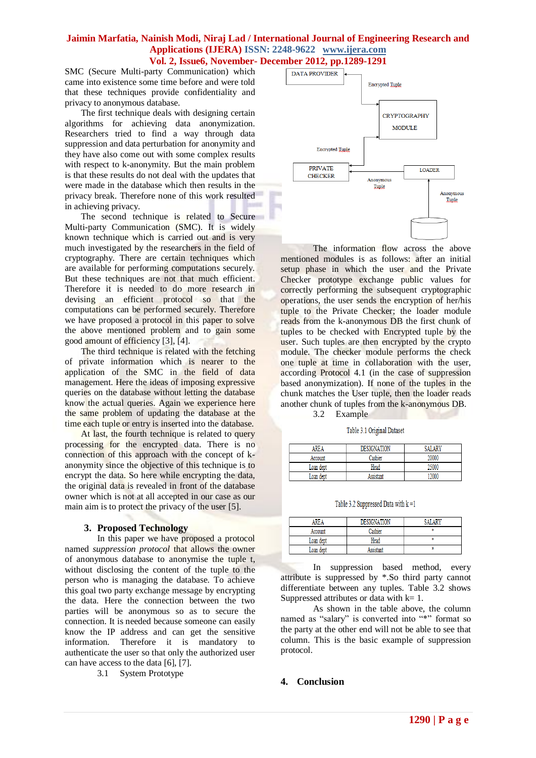### **Jaimin Marfatia, Nainish Modi, Niraj Lad / International Journal of Engineering Research and Applications (IJERA) ISSN: 2248-9622 www.ijera.com Vol. 2, Issue6, November- December 2012, pp.1289-1291**

SMC (Secure Multi-party Communication) which came into existence some time before and were told that these techniques provide confidentiality and privacy to anonymous database.

The first technique deals with designing certain algorithms for achieving data anonymization. Researchers tried to find a way through data suppression and data perturbation for anonymity and they have also come out with some complex results with respect to k-anonymity. But the main problem is that these results do not deal with the updates that were made in the database which then results in the privacy break. Therefore none of this work resulted in achieving privacy.

The second technique is related to Secure Multi-party Communication (SMC). It is widely known technique which is carried out and is very much investigated by the researchers in the field of cryptography. There are certain techniques which are available for performing computations securely. But these techniques are not that much efficient. Therefore it is needed to do more research in devising an efficient protocol so that the computations can be performed securely. Therefore we have proposed a protocol in this paper to solve the above mentioned problem and to gain some good amount of efficiency [3], [4].

The third technique is related with the fetching of private information which is nearer to the application of the SMC in the field of data management. Here the ideas of imposing expressive queries on the database without letting the database know the actual queries. Again we experience here the same problem of updating the database at the time each tuple or entry is inserted into the database.

At last, the fourth technique is related to query processing for the encrypted data. There is no connection of this approach with the concept of kanonymity since the objective of this technique is to encrypt the data. So here while encrypting the data, the original data is revealed in front of the database owner which is not at all accepted in our case as our main aim is to protect the privacy of the user [5].

# **3. Proposed Technology**

In this paper we have proposed a protocol named *suppression protocol* that allows the owner of anonymous database to anonymise the tuple t, without disclosing the content of the tuple to the person who is managing the database. To achieve this goal two party exchange message by encrypting the data. Here the connection between the two parties will be anonymous so as to secure the connection. It is needed because someone can easily know the IP address and can get the sensitive information. Therefore it is mandatory to authenticate the user so that only the authorized user can have access to the data [6], [7].

3.1 System Prototype



The information flow across the above mentioned modules is as follows: after an initial setup phase in which the user and the Private Checker prototype exchange public values for correctly performing the subsequent cryptographic operations, the user sends the encryption of her/his tuple to the Private Checker; the loader module reads from the k-anonymous DB the first chunk of tuples to be checked with Encrypted tuple by the user. Such tuples are then encrypted by the crypto module. The checker module performs the check one tuple at time in collaboration with the user, according Protocol 4.1 (in the case of suppression based anonymization). If none of the tuples in the chunk matches the User tuple, then the loader reads another chunk of tuples from the k-anonymous DB.

3.2 Example

Table 3.1 Original Dataset

| AREA      | <b>DESIGNATION</b> | <b>SALARY</b> |
|-----------|--------------------|---------------|
| Account   | Cashier            | 20000         |
| Loan dept | Head               | 25000         |
| Loan dent | Assistant          | 12000         |

Table 3.2 Suppressed Data with  $k = 1$ 

| <b>RFA</b> | <b>DESIGNATION</b> |  |
|------------|--------------------|--|
| Account    |                    |  |
| Loan dept  | Head               |  |
| Loan dept  |                    |  |

In suppression based method, every attribute is suppressed by \*.So third party cannot differentiate between any tuples. Table 3.2 shows Suppressed attributes or data with  $k=1$ .

As shown in the table above, the column named as "salary" is converted into "\*" format so the party at the other end will not be able to see that column. This is the basic example of suppression protocol.

# **4. Conclusion**